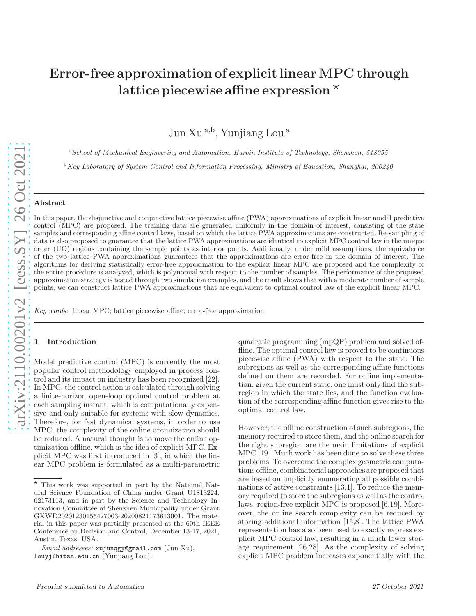# Error-free approximation of explicit linear MPC through lattice piecewise affine expression  $\star$

Jun Xu<sup>a,b</sup>, Yunjiang Lou<sup>a</sup>

<sup>a</sup>School of Mechanical Engineering and Automation, Harbin Institute of Technology, Shenzhen, 518055

 $\rm ^b$ Key Laboratory of System Control and Information Processing, Ministry of Education, Shanghai, 200240

#### Abstract

In this paper, the disjunctive and conjunctive lattice piecewise affine (PWA) approximations of explicit linear model predictive control (MPC) are proposed. The training data are generated uniformly in the domain of interest, consisting of the state samples and corresponding affine control laws, based on which the lattice PWA approximations are constructed. Re-sampling of data is also proposed to guarantee that the lattice PWA approximations are identical to explicit MPC control law in the unique order (UO) regions containing the sample points as interior points. Additionally, under mild assumptions, the equivalence of the two lattice PWA approximations guarantees that the approximations are error-free in the domain of interest. The algorithms for deriving statistically error-free approximation to the explicit linear MPC are proposed and the complexity of the entire procedure is analyzed, which is polynomial with respect to the number of samples. The performance of the proposed approximation strategy is tested through two simulation examples, and the result shows that with a moderate number of sample points, we can construct lattice PWA approximations that are equivalent to optimal control law of the explicit linear MPC.

Key words: linear MPC; lattice piecewise affine; error-free approximation.

# **Introduction**

Model predictive control (MPC) is currently the most popular control methodology employed in process control and its impact on industry has been recognized [22]. In MPC, the control action is calculated through solving a finite-horizon open-loop optimal control problem at each sampling instant, which is computationally expensive and only suitable for systems with slow dynamics. Therefore, for fast dynamical systems, in order to use MPC, the complexity of the online optimization should be reduced. A natural thought is to move the online optimization offline, which is the idea of explicit MPC. Explicit MPC was first introduced in [3], in which the linear MPC problem is formulated as a multi-parametric quadratic programming (mpQP) problem and solved offline. The optimal control law is proved to be continuous piecewise affine (PWA) with respect to the state. The subregions as well as the corresponding affine functions defined on them are recorded. For online implementation, given the current state, one must only find the subregion in which the state lies, and the function evaluation of the corresponding affine function gives rise to the optimal control law.

However, the offline construction of such subregions, the memory required to store them, and the online search for the right subregion are the main limitations of explicit MPC [19]. Much work has been done to solve these three problems. To overcome the complex geometric computations offline, combinatorial approaches are proposed that are based on implicitly enumerating all possible combinations of active constraints [13,1]. To reduce the memory required to store the subregions as well as the control laws, region-free explicit MPC is proposed [6,19]. Moreover, the online search complexity can be reduced by storing additional information [15,8]. The lattice PWA representation has also been used to exactly express explicit MPC control law, resulting in a much lower storage requirement [26,28]. As the complexity of solving explicit MPC problem increases exponentially with the

 $\star$  This work was supported in part by the National Natural Science Foundation of China under Grant U1813224, 62173113, and in part by the Science and Technology Innovation Committee of Shenzhen Municipality under Grant GXWD20201230155427003-20200821173613001. The material in this paper was partially presented at the 60th IEEE Conference on Decision and Control, December 13-17, 2021, Austin, Texas, USA.

Email addresses: xujunqgy@gmail.com (Jun Xu), louyj@hitsz.edu.cn (Yunjiang Lou).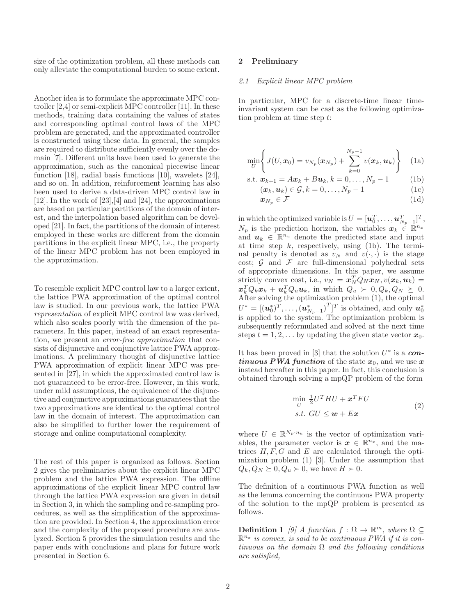size of the optimization problem, all these methods can only alleviate the computational burden to some extent.

Another idea is to formulate the approximate MPC controller [2,4] or semi-explicit MPC controller [11]. In these methods, training data containing the values of states and corresponding optimal control laws of the MPC problem are generated, and the approximated controller is constructed using these data. In general, the samples are required to distribute sufficiently evenly over the domain [7]. Different units have been used to generate the approximation, such as the canonical piecewise linear function [18], radial basis functions [10], wavelets [24], and so on. In addition, reinforcement learning has also been used to derive a data-driven MPC control law in [12]. In the work of [23],[4] and [24], the approximations are based on particular partitions of the domain of interest, and the interpolation based algorithm can be developed [21]. In fact, the partitions of the domain of interest employed in these works are different from the domain partitions in the explicit linear MPC, i.e., the property of the linear MPC problem has not been employed in the approximation.

To resemble explicit MPC control law to a larger extent, the lattice PWA approximation of the optimal control law is studied. In our previous work, the lattice PWA representation of explicit MPC control law was derived, which also scales poorly with the dimension of the parameters. In this paper, instead of an exact representation, we present an error-free approximation that consists of disjunctive and conjunctive lattice PWA approximations. A preliminary thought of disjunctive lattice PWA approximation of explicit linear MPC was presented in [27], in which the approximated control law is not guaranteed to be error-free. However, in this work, under mild assumptions, the equivalence of the disjunctive and conjunctive approximations guarantees that the two approximations are identical to the optimal control law in the domain of interest. The approximation can also be simplified to further lower the requirement of storage and online computational complexity.

The rest of this paper is organized as follows. Section 2 gives the preliminaries about the explicit linear MPC problem and the lattice PWA expression. The offline approximations of the explicit linear MPC control law through the lattice PWA expression are given in detail in Section 3, in which the sampling and re-sampling procedures, as well as the simplification of the approximation are provided. In Section 4, the approximation error and the complexity of the proposed procedure are analyzed. Section 5 provides the simulation results and the paper ends with conclusions and plans for future work presented in Section 6.

#### 2 Preliminary

#### 2.1 Explicit linear MPC problem

In particular, MPC for a discrete-time linear timeinvariant system can be cast as the following optimization problem at time step t:

$$
\min_{U} \left\{ J(U, \mathbf{x}_0) = v_{N_p}(\mathbf{x}_{N_p}) + \sum_{k=0}^{N_p-1} v(\mathbf{x}_k, \mathbf{u}_k) \right\} \quad (1a)
$$

s.t. 
$$
\mathbf{x}_{k+1} = A\mathbf{x}_k + B\mathbf{u}_k, k = 0, ..., N_p - 1
$$
 (1b)

$$
(\boldsymbol{x}_k, \boldsymbol{u}_k) \in \mathcal{G}, k = 0, \dots, N_p - 1
$$
 (1c)

$$
x_{N_p} \in \mathcal{F} \tag{1d}
$$

in which the optimized variable is  $U = [\boldsymbol{u}_0^T, \dots, \boldsymbol{u}_{N_p-1}^T]^T,$  $N_p$  is the prediction horizon, the variables  $\mathbf{x}_k \in \mathbb{R}^{n_x}$ and  $u_k \in \mathbb{R}^{n_u}$  denote the predicted state and input at time step  $k$ , respectively, using (1b). The terminal penalty is denoted as  $v_N$  and  $v(\cdot, \cdot)$  is the stage cost;  $\mathcal G$  and  $\mathcal F$  are full-dimensional polyhedral sets of appropriate dimensions. In this paper, we assume strictly convex cost, i.e.,  $v_N = \boldsymbol{x}_N^T \overline{Q}_N \boldsymbol{x}_N, v(\boldsymbol{x}_k, \boldsymbol{u}_k) =$  $x_k^T Q_k x_k + \boldsymbol{u}_k^T Q_u \boldsymbol{u}_k$ , in which  $Q_u > 0, Q_k, Q_N \geq 0$ . After solving the optimization problem (1), the optimal  $U^* = [(\boldsymbol{u}_0^*)^T, \dots, (\boldsymbol{u}_{N_p-1}^*)^T]^T$  is obtained, and only  $\boldsymbol{u}_0^*$  is applied to the system. The optimization problem is subsequently reformulated and solved at the next time steps  $t = 1, 2, \ldots$  by updating the given state vector  $x_0$ .

It has been proved in  $[3]$  that the solution  $U^*$  is a *continuous PWA function* of the state  $x_0$ , and we use x instead hereafter in this paper. In fact, this conclusion is obtained through solving a mpQP problem of the form

$$
\min_{U} \frac{1}{2}U^{T}HU + \boldsymbol{x}^{T}FU
$$
\n
$$
s.t. \ GU \leq \boldsymbol{w} + E\boldsymbol{x}
$$
\n(2)

where  $U \in \mathbb{R}^{N_p \cdot n_u}$  is the vector of optimization variables, the parameter vector is  $x \in \mathbb{R}^{n_x}$ , and the matrices  $H, F, G$  and  $E$  are calculated through the optimization problem (1) [3]. Under the assumption that  $Q_k, Q_N \succeq 0, Q_u \succ 0$ , we have  $H \succ 0$ .

The definition of a continuous PWA function as well as the lemma concerning the continuous PWA property of the solution to the mpQP problem is presented as follows.

**Definition 1** [9] A function  $f : \Omega \to \mathbb{R}^m$ , where  $\Omega \subseteq$  $\mathbb{R}^{n_x}$  is convex, is said to be continuous PWA if it is continuous on the domain  $\Omega$  and the following conditions are satisfied,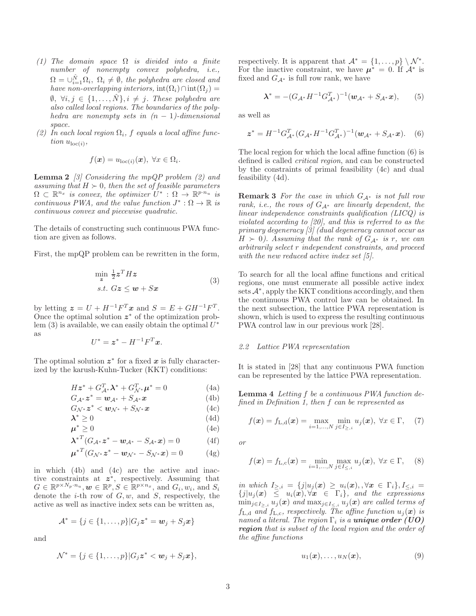- (1) The domain space  $\Omega$  is divided into a finite number of nonempty convex polyhedra, i.e.,  $\Omega = \cup_{i=1}^{\hat{N}} \Omega_i$ ,  $\Omega_i \neq \emptyset$ , the polyhedra are closed and have non-overlapping interiors,  $\text{int}(\Omega_i)\cap\text{int}(\Omega_j) =$  $\emptyset, \forall i, j \in \{1, \ldots, \hat{N}\}, i \neq j$ . These polyhedra are also called local regions. The boundaries of the polyhedra are nonempty sets in  $(n - 1)$ -dimensional space.
- (2) In each local region  $\Omega_i$ , f equals a local affine function  $u_{\text{loc}(i)}$ ,

$$
f(\boldsymbol{x}) = u_{\mathrm{loc}(i)}(\boldsymbol{x}), \ \forall x \in \Omega_i.
$$

**Lemma 2** [3] Considering the mpQP problem  $(2)$  and assuming that  $H \succ 0$ , then the set of feasible parameters  $\Omega \subset \mathbb{R}^{n_x}$  is convex, the optimizer  $U^* : \Omega \to \mathbb{R}^{p \cdot n_u}$  is continuous PWA, and the value function  $J^* : \Omega \to \mathbb{R}$  is continuous convex and piecewise quadratic.

The details of constructing such continuous PWA function are given as follows.

First, the mpQP problem can be rewritten in the form,

$$
\min_{\mathbf{z}} \frac{1}{2} \mathbf{z}^T H \mathbf{z}
$$
  
s.t.  $G\mathbf{z} \le \mathbf{w} + S\mathbf{x}$  (3)

by letting  $\boldsymbol{z} = U + H^{-1}F^{T}\boldsymbol{x}$  and  $S = E + GH^{-1}F^{T}$ . Once the optimal solution  $z^*$  of the optimization problem  $(3)$  is available, we can easily obtain the optimal  $U^*$ as

$$
U^* = \boldsymbol{z}^* - H^{-1}F^T\boldsymbol{x}.
$$

The optimal solution  $z^*$  for a fixed x is fully characterized by the karush-Kuhn-Tucker (KKT) conditions:

$$
H\mathbf{z}^* + G_{\mathcal{A}^*}^T \mathbf{\lambda}^* + G_{\mathcal{N}^*}^T \mathbf{\mu}^* = 0 \tag{4a}
$$

$$
G_{\mathcal{A}^*} z^* = \mathbf{w}_{\mathcal{A}^*} + S_{\mathcal{A}^*} \mathbf{x}
$$
 (4b)

$$
G_{\mathcal{N}^*}z^* < w_{\mathcal{N}^*} + S_{\mathcal{N}^*}x \tag{4c}
$$

$$
\lambda^* \ge 0 \tag{4d}
$$

$$
\mu^* \ge 0 \tag{4e}
$$

$$
\lambda^{*T} (G_{\mathcal{A}^*} z^* - w_{\mathcal{A}^*} - S_{\mathcal{A}^*} x) = 0
$$
 (4f)

$$
\mu^{*T}(G_{\mathcal{N}^*}z^* - w_{\mathcal{N}^*} - S_{\mathcal{N}^*}x) = 0 \qquad (4g)
$$

in which (4b) and (4c) are the active and inactive constraints at  $z^*$ , respectively. Assuming that  $G \in \mathbb{R}^{p \times N_p \cdot n_u}, \boldsymbol{w} \in \mathbb{R}^p, S \in \mathbb{R}^{p \times n_x}$ , and  $G_i, w_i$ , and  $S_i$ denote the  $i$ -th row of  $G, w$ , and  $S$ , respectively, the active as well as inactive index sets can be written as,

$$
\mathcal{A}^* = \{j \in \{1, \ldots, p\} | G_j \mathbf{z}^* = \mathbf{w}_j + S_j \mathbf{x}\}\
$$

and

$$
\mathcal{N}^* = \{j \in \{1, \ldots, p\} | G_j z^* < w_j + S_j x\},\
$$

respectively. It is apparent that  $\mathcal{A}^* = \{1, \ldots, p\} \setminus \mathcal{N}^*$ . For the inactive constraint, we have  $\mu^* = 0$ . If  $\mathcal{A}^*$  is fixed and  $G_{\mathcal{A}^*}$  is full row rank, we have

$$
\lambda^* = -(G_{\mathcal{A}^*}H^{-1}G_{\mathcal{A}^*}^T)^{-1}(\mathbf{w}_{\mathcal{A}^*} + S_{\mathcal{A}^*}\mathbf{x}),\qquad(5)
$$

as well as

$$
\mathbf{z}^* = H^{-1} G_{\mathcal{A}^*}^T (G_{\mathcal{A}^*} H^{-1} G_{\mathcal{A}^*}^T)^{-1} (\mathbf{w}_{\mathcal{A}^*} + S_{\mathcal{A}^*} \mathbf{x}). \tag{6}
$$

The local region for which the local affine function (6) is defined is called critical region, and can be constructed by the constraints of primal feasibility (4c) and dual feasibility (4d).

**Remark 3** For the case in which  $G_{\mathcal{A}^*}$  is not full row rank, i.e., the rows of  $G_{\mathcal{A}^*}$  are linearly dependent, the linear independence constraints qualification (LICQ) is violated according to [20], and this is referred to as the primary degeneracy [3] (dual degeneracy cannot occur as  $H \succ 0$ ). Assuming that the rank of  $G_{\mathcal{A}^*}$  is r, we can arbitrarily select r independent constraints, and proceed with the new reduced active index set [5].

To search for all the local affine functions and critical regions, one must enumerate all possible active index sets  $\mathcal{A}^*$ , apply the KKT conditions accordingly, and then the continuous PWA control law can be obtained. In the next subsection, the lattice PWA representation is shown, which is used to express the resulting continuous PWA control law in our previous work [28].

## 2.2 Lattice PWA representation

It is stated in [28] that any continuous PWA function can be represented by the lattice PWA representation.

Lemma 4 Letting f be a continuous PWA function defined in Definition 1, then f can be represented as

$$
f(\mathbf{x}) = f_{L,d}(\mathbf{x}) = \max_{i=1,...,N} \min_{j \in I_{\ge,i}} u_j(\mathbf{x}), \ \forall x \in \Gamma, \quad (7)
$$

or

$$
f(\mathbf{x}) = f_{L,c}(\mathbf{x}) = \min_{i=1,...,N} \max_{j \in I_{\le i}} u_j(\mathbf{x}), \ \forall x \in \Gamma, \quad (8)
$$

in which  $I_{\ge,i} = \{j | u_j(x) \ge u_i(x), \forall x \in \Gamma_i\}, I_{\le,i} =$  ${j|u_j(x)} \leq u_i(x), \forall x \in \Gamma_i$ , and the expressions  $\min_{j\in I_{\geq i}} u_j(\boldsymbol{x})$  and  $\max_{j\in I_{\leq i}} u_j(\boldsymbol{x})$  are called terms of  $f_{L,d}$  and  $f_{L,c}$ , respectively. The affine function  $u_j(x)$  is named a literal. The region  $\Gamma_i$  is a **unique order** (UO) *region* that is subset of the local region and the order of the affine functions

$$
u_1(\boldsymbol{x}), \ldots, u_N(\boldsymbol{x}), \qquad \qquad (9)
$$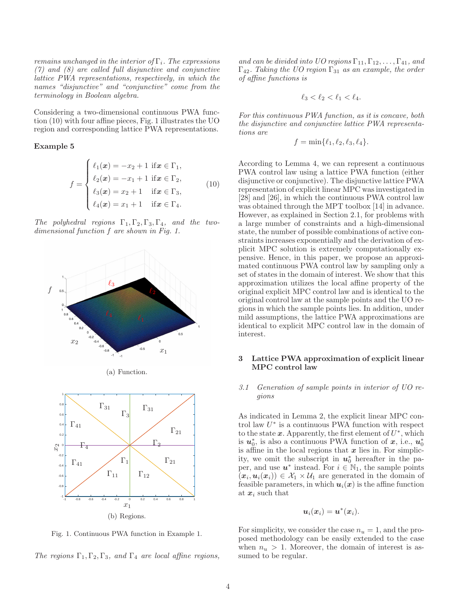remains unchanged in the interior of  $\Gamma_i$ . The expressions (7) and (8) are called full disjunctive and conjunctive lattice PWA representations, respectively, in which the names "disjunctive" and "conjunctive" come from the terminology in Boolean algebra.

Considering a two-dimensional continuous PWA function (10) with four affine pieces, Fig. 1 illustrates the UO region and corresponding lattice PWA representations.

#### Example 5

$$
f = \begin{cases} \ell_1(\boldsymbol{x}) = -x_2 + 1 & \text{if } \boldsymbol{x} \in \Gamma_1, \\ \ell_2(\boldsymbol{x}) = -x_1 + 1 & \text{if } \boldsymbol{x} \in \Gamma_2, \\ \ell_3(\boldsymbol{x}) = x_2 + 1 & \text{if } \boldsymbol{x} \in \Gamma_3, \\ \ell_4(\boldsymbol{x}) = x_1 + 1 & \text{if } \boldsymbol{x} \in \Gamma_4. \end{cases}
$$
(10)

 $\ell_4(\boldsymbol{x}) = x_1 + 1 \quad \text{if } \boldsymbol{x} \in \Gamma_4.$ 

replacements

 $\Gamma_1$ 

polyhedral regions  $\Gamma_1, \Gamma_2, \Gamma_3, \Gamma_4$ , and the two $d_{\text{th}}^{\text{He}}$  potyneard regions  $1_1, 1_2, 1_3, 1_4,$  and  $d_{\text{th}}^{\text{He}}$  regional function f are shown in Fig. 1. Γ<sup>11</sup>  $\mathbf{f}^n_2$ 





Fig. 1. Continuous PWA function in Example 1.

The regions  $\Gamma_1, \Gamma_2, \Gamma_3$ , and  $\Gamma_4$  are local affine regions,

and can be divided into UO regions  $\Gamma_{11}, \Gamma_{12}, \ldots, \Gamma_{41}$ , and  $\Gamma_{42}$ . Taking the UO region  $\Gamma_{31}$  as an example, the order of affine functions is

$$
\ell_3<\ell_2<\ell_1<\ell_4.
$$

For this continuous PWA function, as it is concave, both the disjunctive and conjunctive lattice PWA representations are

$$
f = \min\{\ell_1, \ell_2, \ell_3, \ell_4\}.
$$

According to Lemma 4, we can represent a continuous PWA control law using a lattice PWA function (either disjunctive or conjunctive). The disjunctive lattice PWA representation of explicit linear MPC was investigated in [28] and [26], in which the continuous PWA control law was obtained through the MPT toolbox [14] in advance. However, as explained in Section 2.1, for problems with a large number of constraints and a high-dimensional state, the number of possible combinations of active constraints increases exponentially and the derivation of explicit MPC solution is extremely computationally expensive. Hence, in this paper, we propose an approximated continuous PWA control law by sampling only a set of states in the domain of interest. We show that this approximation utilizes the local affine property of the original explicit MPC control law and is identical to the original control law at the sample points and the UO regions in which the sample points lies. In addition, under mild assumptions, the lattice PWA approximations are identical to explicit MPC control law in the domain of interest.

# 3 Lattice PWA approximation of explicit linear MPC control law

## 3.1 Generation of sample points in interior of UO regions

As indicated in Lemma 2, the explicit linear MPC control law  $U^*$  is a continuous PWA function with respect to the state  $x$ . Apparently, the first element of  $U^*$ , which is  $u_0^*$ , is also a continuous PWA function of  $x$ , i.e.,  $u_0^*$ is affine in the local regions that  $x$  lies in. For simplicity, we omit the subscript in  $u_0^*$  hereafter in the paper, and use  $u^*$  instead. For  $i \in \mathbb{N}_1$ , the sample points  $(x_i, u_i(x_i)) \in \mathcal{X}_1 \times \mathcal{U}_1$  are generated in the domain of feasible parameters, in which  $u_i(x)$  is the affine function at  $x_i$  such that

$$
\boldsymbol{u}_i(\boldsymbol{x}_i) = \boldsymbol{u}^*(\boldsymbol{x}_i).
$$

For simplicity, we consider the case  $n_u = 1$ , and the proposed methodology can be easily extended to the case when  $n_u > 1$ . Moreover, the domain of interest is assumed to be regular.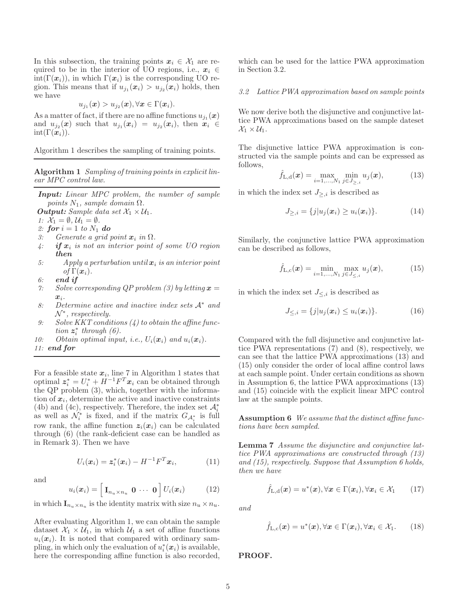In this subsection, the training points  $x_i \in \mathcal{X}_1$  are required to be in the interior of UO regions, i.e.,  $x_i \in$  $\text{int}(\Gamma(\boldsymbol{x}_i))$ , in which  $\Gamma(\boldsymbol{x}_i)$  is the corresponding UO region. This means that if  $u_{j_1}(\boldsymbol{x}_i) > u_{j_2}(\boldsymbol{x}_i)$  holds, then we have

$$
u_{j_1}(\boldsymbol{x}) > u_{j_2}(\boldsymbol{x}), \forall \boldsymbol{x} \in \Gamma(\boldsymbol{x}_i).
$$

As a matter of fact, if there are no affine functions  $u_{j_1}(\boldsymbol{x})$ and  $u_{j_2}(x)$  such that  $u_{j_1}(x_i) = u_{j_2}(x_i)$ , then  $x_i \in$  $\text{int}(\Gamma(\boldsymbol{x}_i)).$ 

Algorithm 1 describes the sampling of training points.

Algorithm 1 Sampling of training points in explicit linear MPC control law.

*Input:* Linear MPC problem, the number of sample points  $N_1$ , sample domain  $\Omega$ .

*Output:* Sample data set  $\mathcal{X}_1 \times \mathcal{U}_1$ .

- 1:  $\mathcal{X}_1 = \emptyset, \mathcal{U}_1 = \emptyset.$
- 2: **for**  $i = 1$  to  $N_1$  **do**
- 3: Generate a grid point  $x_i$  in  $\Omega$ .
- $4:$  *if*  $x_i$  is not an interior point of some UO region *then*
- 5: Apply a perturbation until  $x_i$  is an interior point of  $\Gamma(\boldsymbol{x}_i)$ .
- 6: *end if*
- 7: Solve corresponding QP problem (3) by letting  $x =$  $x_i$ .
- 8: Determine active and inactive index sets A<sup>∗</sup> and  $\mathcal{N}^*$ , respectively.
- 9: Solve KKT conditions (4) to obtain the affine function  $z_i^*$  through  $(6)$ .
- 10: Obtain optimal input, i.e.,  $U_i(\boldsymbol{x}_i)$  and  $u_i(\boldsymbol{x}_i)$ .

11: *end for*

For a feasible state  $x_i$ , line 7 in Algorithm 1 states that optimal  $z_i^* = U_i^* + H^{-1}F^T x_i$  can be obtained through the QP problem (3), which, together with the information of  $x_i$ , determine the active and inactive constraints (4b) and (4c), respectively. Therefore, the index set  $\mathcal{A}_{i}^{*}$  as well as  $\mathcal{N}_{i}^{*}$  is fixed, and if the matrix  $G_{\mathcal{A}_{i}^{*}}$  is full row rank, the affine function  $z_i(x_i)$  can be calculated through (6) (the rank-deficient case can be handled as in Remark 3). Then we have

$$
U_i(\boldsymbol{x}_i) = \boldsymbol{z}_i^*(\boldsymbol{x}_i) - H^{-1}F^T\boldsymbol{x}_i, \qquad (11)
$$

and

$$
u_i(\boldsymbol{x}_i) = \left[\mathbf{I}_{n_u \times n_u} \ \mathbf{0} \ \cdots \ \mathbf{0}\right] U_i(\boldsymbol{x}_i) \tag{12}
$$

in which  $\mathbf{I}_{n_u \times n_u}$  is the identity matrix with size  $n_u \times n_u$ .

After evaluating Algorithm 1, we can obtain the sample dataset  $X_1 \times U_1$ , in which  $U_1$  a set of affine functions  $u_i(\boldsymbol{x}_i)$ . It is noted that compared with ordinary sampling, in which only the evaluation of  $u_i^*(x_i)$  is available, here the corresponding affine function is also recorded, which can be used for the lattice PWA approximation in Section 3.2.

#### 3.2 Lattice PWA approximation based on sample points

We now derive both the disjunctive and conjunctive lattice PWA approximations based on the sample dateset  $\mathcal{X}_1 \times \mathcal{U}_1$ .

The disjunctive lattice PWA approximation is constructed via the sample points and can be expressed as follows,

$$
\hat{f}_{L,d}(\bm{x}) = \max_{i=1,\dots,N_1} \min_{j \in J_{\ge,i}} u_j(\bm{x}), \tag{13}
$$

in which the index set  $J_{\geq i}$  is described as

$$
J_{\ge,i} = \{j | u_j(\bm{x}_i) \ge u_i(\bm{x}_i)\}.
$$
 (14)

Similarly, the conjunctive lattice PWA approximation can be described as follows,

$$
\hat{f}_{L,c}(\bm{x}) = \min_{i=1,...,N_1} \max_{j \in J_{\leq i}} u_j(\bm{x}), \quad (15)
$$

in which the index set  $J_{\leq i}$  is described as

$$
J_{\leq,i} = \{j | u_j(\boldsymbol{x}_i) \leq u_i(\boldsymbol{x}_i)\}.
$$
 (16)

Compared with the full disjunctive and conjunctive lattice PWA representations (7) and (8), respectively, we can see that the lattice PWA approximations (13) and (15) only consider the order of local affine control laws at each sample point. Under certain conditions as shown in Assumption 6, the lattice PWA approximations (13) and (15) coincide with the explicit linear MPC control law at the sample points.

Assumption 6 We assume that the distinct affine functions have been sampled.

Lemma 7 Assume the disjunctive and conjunctive lattice PWA approximations are constructed through (13) and (15), respectively. Suppose that Assumption 6 holds, then we have

$$
\hat{f}_{L,d}(\boldsymbol{x}) = u^*(\boldsymbol{x}), \forall \boldsymbol{x} \in \Gamma(\boldsymbol{x}_i), \forall \boldsymbol{x}_i \in \mathcal{X}_1 \qquad (17)
$$

and

$$
\hat{f}_{L,c}(\boldsymbol{x}) = u^*(\boldsymbol{x}), \forall \boldsymbol{x} \in \Gamma(\boldsymbol{x}_i), \forall \boldsymbol{x}_i \in \mathcal{X}_1.
$$
 (18)

PROOF.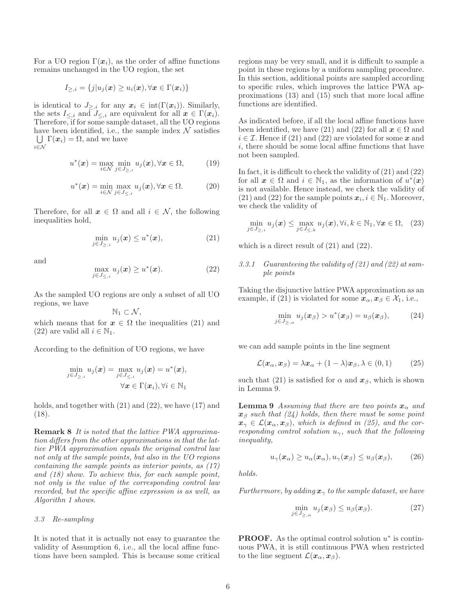For a UO region  $\Gamma(x_i)$ , as the order of affine functions remains unchanged in the UO region, the set

$$
I_{\geq,i} = \{j | u_j(\boldsymbol{x}) \geq u_i(\boldsymbol{x}), \forall \boldsymbol{x} \in \Gamma(\boldsymbol{x}_i) \}
$$

is identical to  $J_{\geq,i}$  for any  $x_i \in \text{int}(\Gamma(x_i))$ . Similarly, the sets  $I_{\leq i}$  and  $J_{\leq i}$  are equivalent for all  $x \in \Gamma(x_i)$ . Therefore, if for some sample dataset, all the UO regions have been identified, i.e., the sample index  $\mathcal N$  satisfies  $\bigcup \Gamma(x_i) = \Omega$ , and we have i∈N

$$
u^*(\boldsymbol{x}) = \max_{i \in \mathcal{N}} \min_{j \in J_{\ge,i}} u_j(\boldsymbol{x}), \forall \boldsymbol{x} \in \Omega,
$$
 (19)

$$
u^*(\boldsymbol{x}) = \min_{i \in \mathcal{N}} \max_{j \in J_{\leq,i}} u_j(\boldsymbol{x}), \forall \boldsymbol{x} \in \Omega.
$$
 (20)

Therefore, for all  $x \in \Omega$  and all  $i \in \mathcal{N}$ , the following inequalities hold,

$$
\min_{j \in J_{\ge,i}} u_j(\boldsymbol{x}) \le u^*(\boldsymbol{x}),\tag{21}
$$

and

$$
\max_{j \in J_{\leq,i}} u_j(\boldsymbol{x}) \ge u^*(\boldsymbol{x}). \tag{22}
$$

As the sampled UO regions are only a subset of all UO regions, we have

 $\mathbb{N}_1 \subset \mathcal{N},$ 

which means that for  $x \in \Omega$  the inequalities (21) and (22) are valid all  $i \in \mathbb{N}_1$ .

According to the definition of UO regions, we have

$$
\min_{j \in J_{\ge,i}} u_j(\boldsymbol{x}) = \max_{j \in J_{\le,i}} u_j(\boldsymbol{x}) = u^*(\boldsymbol{x}), \forall \boldsymbol{x} \in \Gamma(\boldsymbol{x}_i), \forall i \in \mathbb{N}_1
$$

holds, and together with (21) and (22), we have (17) and (18).

Remark 8 It is noted that the lattice PWA approximation differs from the other approximations in that the lattice PWA approximation equals the original control law not only at the sample points, but also in the UO regions containing the sample points as interior points, as (17) and (18) show. To achieve this, for each sample point, not only is the value of the corresponding control law recorded, but the specific affine expression is as well, as Algorithn 1 shows.

#### 3.3 Re-sampling

It is noted that it is actually not easy to guarantee the validity of Assumption 6, i.e., all the local affine functions have been sampled. This is because some critical regions may be very small, and it is difficult to sample a point in these regions by a uniform sampling procedure. In this section, additional points are sampled according to specific rules, which improves the lattice PWA approximations (13) and (15) such that more local affine functions are identified.

As indicated before, if all the local affine functions have been identified, we have (21) and (22) for all  $x \in \Omega$  and  $i \in \mathcal{I}$ . Hence if (21) and (22) are violated for some x and i, there should be some local affine functions that have not been sampled.

In fact, it is difficult to check the validity of (21) and (22) for all  $x \in \Omega$  and  $i \in \mathbb{N}_1$ , as the information of  $u^*(x)$ is not available. Hence instead, we check the validity of (21) and (22) for the sample points  $x_i, i \in \mathbb{N}_1$ . Moreover, we check the validity of

$$
\min_{j\in J_{\ge,i}} u_j(\boldsymbol{x}) \le \max_{j\in J_{\le,k}} u_j(\boldsymbol{x}), \forall i, k \in \mathbb{N}_1, \forall \boldsymbol{x} \in \Omega, \quad (23)
$$

which is a direct result of (21) and (22).

## 3.3.1 Guaranteeing the validity of (21) and (22) at sample points

Taking the disjunctive lattice PWA approximation as an example, if (21) is violated for some  $\mathbf{x}_{\alpha}, \mathbf{x}_{\beta} \in \mathcal{X}_1$ , i.e.,

$$
\min_{j\in J_{\geq,\alpha}} u_j(\boldsymbol{x}_{\beta}) > u^*(\boldsymbol{x}_{\beta}) = u_{\beta}(\boldsymbol{x}_{\beta}), \qquad (24)
$$

we can add sample points in the line segment

$$
\mathcal{L}(\boldsymbol{x}_{\alpha}, \boldsymbol{x}_{\beta}) = \lambda \boldsymbol{x}_{\alpha} + (1 - \lambda) \boldsymbol{x}_{\beta}, \lambda \in (0, 1) \qquad (25)
$$

such that (21) is satisfied for  $\alpha$  and  $\mathbf{x}_{\beta}$ , which is shown in Lemma 9.

**Lemma 9** Assuming that there are two points  $x_{\alpha}$  and  $x<sub>β</sub> such that (24) holds, then there must be some point$  $x_{\gamma} \in \mathcal{L}(x_{\alpha}, x_{\beta})$ , which is defined in (25), and the corresponding control solution  $u_{\gamma}$ , such that the following inequality,

$$
u_{\gamma}(\boldsymbol{x}_{\alpha}) \ge u_{\alpha}(\boldsymbol{x}_{\alpha}), u_{\gamma}(\boldsymbol{x}_{\beta}) \le u_{\beta}(\boldsymbol{x}_{\beta}), \qquad (26)
$$

holds.

Furthermore, by adding  $x_{\gamma}$  to the sample dataset, we have

$$
\min_{j \in J_{\geq,\alpha}} u_j(\boldsymbol{x}_{\beta}) \leq u_{\beta}(\boldsymbol{x}_{\beta}). \tag{27}
$$

**PROOF.** As the optimal control solution  $u^*$  is continuous PWA, it is still continuous PWA when restricted to the line segment  $\mathcal{L}(\boldsymbol{x}_{\alpha}, \boldsymbol{x}_{\beta}).$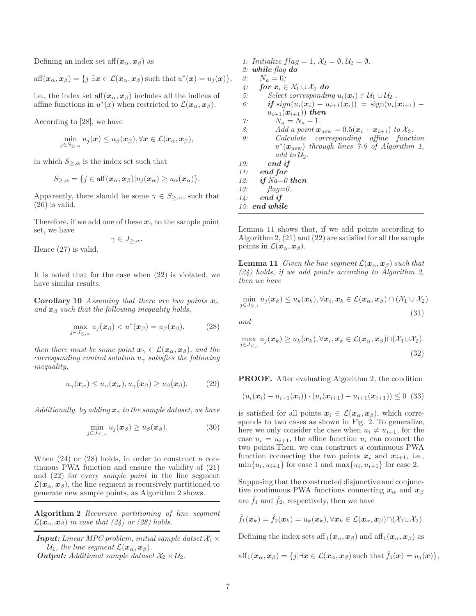Defining an index set aff $(x_\alpha, x_\beta)$  as

$$
\text{aff}(\boldsymbol{x}_{\alpha},\boldsymbol{x}_{\beta})=\{j|\exists \boldsymbol{x}\in\mathcal{L}(\boldsymbol{x}_{\alpha},\boldsymbol{x}_{\beta})\,\text{such that}\,u^{*}(\boldsymbol{x})=u_{j}(\boldsymbol{x})\},
$$

i.e., the index set aff $(x_{\alpha}, x_{\beta})$  includes all the indices of affine functions in  $u^*(x)$  when restricted to  $\mathcal{L}(\bm{x}_{\alpha}, \bm{x}_{\beta})$ .

According to [28], we have

$$
\min_{j\in S_{\geq,\alpha}} u_j(\boldsymbol{x}) \leq u_\beta(\boldsymbol{x}_\beta), \forall \boldsymbol{x} \in \mathcal{L}(\boldsymbol{x}_\alpha, \boldsymbol{x}_\beta),
$$

in which  $S_{\geq,\alpha}$  is the index set such that

$$
S_{\geq,\alpha} = \{j \in \text{aff}(\boldsymbol{x}_{\alpha},\boldsymbol{x}_{\beta}) | u_j(\boldsymbol{x}_{\alpha}) \geq u_{\alpha}(\boldsymbol{x}_{\alpha})\}.
$$

Apparently, there should be some  $\gamma \in S_{\geq,\alpha}$ , such that (26) is valid.

Therefore, if we add one of these  $x_{\gamma}$  to the sample point set, we have

$$
\gamma\in J_{\geq,\alpha}.
$$

Hence (27) is valid.

It is noted that for the case when (22) is violated, we have similar results.

**Corollary 10** Assuming that there are two points  $x_\alpha$ and  $x_\beta$  such that the following inequality holds,

$$
\max_{j\in J_{\leq,\alpha}} u_j(\boldsymbol{x}_{\beta}) < u^*(\boldsymbol{x}_{\beta}) = u_{\beta}(\boldsymbol{x}_{\beta}), \quad (28)
$$

then there must be some point  $x_{\gamma} \in \mathcal{L}(x_{\alpha}, x_{\beta})$ , and the corresponding control solution  $u_{\gamma}$  satisfies the following inequality,

$$
u_{\gamma}(\boldsymbol{x}_{\alpha}) \le u_{\alpha}(\boldsymbol{x}_{\alpha}), u_{\gamma}(\boldsymbol{x}_{\beta}) \ge u_{\beta}(\boldsymbol{x}_{\beta}). \tag{29}
$$

Additionally, by adding  $x_{\gamma}$  to the sample dataset, we have

$$
\min_{j \in J_{\leq,\alpha}} u_j(\boldsymbol{x}_{\beta}) \geq u_{\beta}(\boldsymbol{x}_{\beta}). \tag{30}
$$

When (24) or (28) holds, in order to construct a continuous PWA function and ensure the validity of (21) and (22) for every sample point in the line segment  $\mathcal{L}(\bm{x}_{\alpha},\bm{x}_{\beta})$ , the line segment is recursively partitioned to generate new sample points, as Algorithm 2 shows.

Algorithm 2 Recursive partitioning of line segment  $\mathcal{L}(\boldsymbol{x}_{\alpha},\boldsymbol{x}_{\beta})$  in case that (24) or (28) holds.

**Input:** Linear MPC problem, initial sample datset  $\mathcal{X}_1 \times$  $U_1$ , the line segment  $\mathcal{L}(\boldsymbol{x}_{\alpha}, \boldsymbol{x}_{\beta}).$ *Output:* Additional sample dataset  $\mathcal{X}_2 \times \mathcal{U}_2$ .

1: Initialize  $flag = 1$ ,  $\mathcal{X}_2 = \emptyset$ ,  $\mathcal{U}_2 = \emptyset$ . 2: *while* flag *do* 3:  $N_a = 0$ ; 4: **for**  $x_i \in \mathcal{X}_1 \cup \mathcal{X}_2$  **do** 5: Select corresponding  $u_i(\mathbf{x}_i) \in \mathcal{U}_1 \cup \mathcal{U}_2$ . 6: *if* sign( $u_i(x_i) - u_{i+1}(x_i)$ ) = sign( $u_i(x_{i+1})$  –  $u_{i+1}(x_{i+1})$ *) then*  $\gamma: \qquad N_a = N_a + 1.$ 8: Add a point  $\mathbf{x}_{\text{new}} = 0.5(\mathbf{x}_i + \mathbf{x}_{i+1})$  to  $\mathcal{X}_2$ . 9: Calculate corresponding affine function  $u^*(\bm{x}_{\text{new}})$  through lines 7-9 of Algorithm 1, add to  $\mathcal{U}_2$ . 10: *end if* 11: *end for* 12: *if* Na=0 *then* 13:  $flag = 0$ . 14: *end if* 15: *end while*

Lemma 11 shows that, if we add points according to Algorithm 2, (21) and (22) are satisfied for all the sample points in  $\mathcal{L}(\bm{x}_{\alpha}, \bm{x}_{\beta}).$ 

**Lemma 11** Given the line segment  $\mathcal{L}(\mathbf{x}_{\alpha}, \mathbf{x}_{\beta})$  such that  $(24)$  holds, if we add points according to Algorithm 2, then we have

$$
\min_{j \in J_{\ge, i}} u_j(\boldsymbol{x}_k) \le u_k(\boldsymbol{x}_k), \forall \boldsymbol{x}_i, \boldsymbol{x}_k \in \mathcal{L}(\boldsymbol{x}_\alpha, \boldsymbol{x}_\beta) \cap (\mathcal{X}_1 \cup \mathcal{X}_2)
$$
\n(31)

and

$$
\max_{j\in J_{\leq,i}} u_j(\boldsymbol{x}_k) \ge u_k(\boldsymbol{x}_k), \forall \boldsymbol{x}_i, \boldsymbol{x}_k \in \mathcal{L}(\boldsymbol{x}_\alpha, \boldsymbol{x}_\beta) \cap (\mathcal{X}_1 \cup \mathcal{X}_2).
$$
\n(32)

PROOF. After evaluating Algorithm 2, the condition

$$
(u_i(\boldsymbol{x}_i)-u_{i+1}(\boldsymbol{x}_i))\cdot(u_i(\boldsymbol{x}_{i+1})-u_{i+1}(\boldsymbol{x}_{i+1}))\leq 0\tag{33}
$$

is satisfied for all points  $x_i \in \mathcal{L}(x_\alpha, x_\beta)$ , which corresponds to two cases as shown in Fig. 2. To generalize, here we only consider the case when  $u_i \neq u_{i+1}$ , for the case  $u_i = u_{i+1}$ , the affine function  $u_i$  can connect the two points.Then, we can construct a continuous PWA function connecting the two points  $x_i$  and  $x_{i+1}$ , i.e.,  $\min\{u_i, u_{i+1}\}\$ for case 1 and  $\max\{u_i, u_{i+1}\}\$ for case 2.

Supposing that the constructed disjunctive and conjunctive continuous PWA functions connecting  $x_{\alpha}$  and  $x_{\beta}$ are  $f_1$  and  $f_2$ , respectively, then we have

$$
\hat{f}_1(\boldsymbol{x}_k) = \hat{f}_2(\boldsymbol{x}_k) = u_k(\boldsymbol{x}_k), \forall \boldsymbol{x}_k \in \mathcal{L}(\boldsymbol{x}_{\alpha}, \boldsymbol{x}_{\beta}) \cap (\mathcal{X}_1 \cup \mathcal{X}_2).
$$

Defining the index sets aff<sub>1</sub> $(x_\alpha, x_\beta)$  and aff<sub>1</sub> $(x_\alpha, x_\beta)$  as

$$
\text{aff}_1(\boldsymbol{x}_{\alpha},\boldsymbol{x}_{\beta})=\{j|\exists \boldsymbol{x}\in\mathcal{L}(\boldsymbol{x}_{\alpha},\boldsymbol{x}_{\beta})\,\text{such that}\, \hat{f}_1(\boldsymbol{x})=u_j(\boldsymbol{x})\},
$$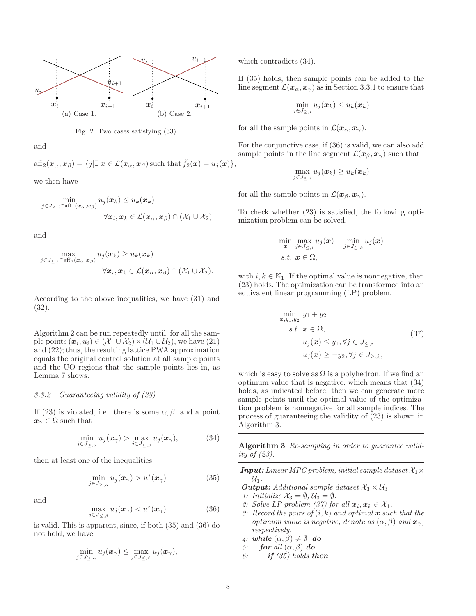



and

 $aff_2(\mathbf{x}_{\alpha}, \mathbf{x}_{\beta}) = \{j | \exists \mathbf{x} \in \mathcal{L}(\mathbf{x}_{\alpha}, \mathbf{x}_{\beta}) \text{ such that } \hat{f}_2(\mathbf{x}) = u_j(\mathbf{x})\},\$ 

we then have

$$
\min_{j \in J_{\geq, i} \cap \text{aff}_1(\boldsymbol{x}_{\alpha}, \boldsymbol{x}_{\beta})} u_j(\boldsymbol{x}_k) \leq u_k(\boldsymbol{x}_k)
$$

$$
\forall \boldsymbol{x}_i, \boldsymbol{x}_k \in \mathcal{L}(\boldsymbol{x}_{\alpha}, \boldsymbol{x}_{\beta}) \cap (\mathcal{X}_1 \cup \mathcal{X}_2)
$$

and

$$
\max_{j \in J_{\leq, i} \cap \text{aff}_2(\boldsymbol{x}_{\alpha}, \boldsymbol{x}_{\beta})} u_j(\boldsymbol{x}_k) \geq u_k(\boldsymbol{x}_k)
$$

$$
\forall \boldsymbol{x}_i, \boldsymbol{x}_k \in \mathcal{L}(\boldsymbol{x}_{\alpha}, \boldsymbol{x}_{\beta}) \cap (\mathcal{X}_1 \cup \mathcal{X}_2).
$$

According to the above inequalities, we have (31) and (32).

Algorithm 2 can be run repeatedly until, for all the sample points  $(x_i, u_i) \in (\mathcal{X}_1 \cup \mathcal{X}_2) \times (\mathcal{U}_1 \cup \mathcal{U}_2)$ , we have  $(21)$ and (22); thus, the resulting lattice PWA approximation equals the original control solution at all sample points and the UO regions that the sample points lies in, as Lemma 7 shows.

## 3.3.2 Guaranteeing validity of (23)

If (23) is violated, i.e., there is some  $\alpha, \beta$ , and a point  $x_{\gamma} \in \Omega$  such that

$$
\min_{j \in J_{\ge,\alpha}} u_j(\boldsymbol{x}_{\gamma}) > \max_{j \in J_{\le,\beta}} u_j(\boldsymbol{x}_{\gamma}),\tag{34}
$$

then at least one of the inequalities

$$
\min_{j \in J_{\geq,\alpha}} u_j(\boldsymbol{x}_{\gamma}) > u^*(\boldsymbol{x}_{\gamma})
$$
\n(35)

and

$$
\max_{j \in J_{\leq,\beta}} u_j(\boldsymbol{x}_{\gamma}) < u^*(\boldsymbol{x}_{\gamma}) \tag{36}
$$

is valid. This is apparent, since, if both (35) and (36) do not hold, we have

$$
\min_{j\in J_{\geq,\alpha}} u_j(\boldsymbol{x}_{\gamma}) \leq \max_{j\in J_{\leq,\beta}} u_j(\boldsymbol{x}_{\gamma}),
$$

which contradicts (34).

If (35) holds, then sample points can be added to the line segment  $\mathcal{L}(\mathbf{x}_{\alpha}, \mathbf{x}_{\gamma})$  as in Section 3.3.1 to ensure that

$$
\min_{j\in J_{\geq,i}} u_j(\boldsymbol{x}_k) \leq u_k(\boldsymbol{x}_k)
$$

for all the sample points in  $\mathcal{L}(\bm{x}_{\alpha}, \bm{x}_{\gamma}).$ 

For the conjunctive case, if (36) is valid, we can also add sample points in the line segment  $\mathcal{L}(\bm{x}_{\beta}, \bm{x}_{\gamma})$  such that

$$
\max_{j\in J_{\leq,i}} u_j(\boldsymbol{x}_k) \geq u_k(\boldsymbol{x}_k)
$$

for all the sample points in  $\mathcal{L}(\bm{x}_{\beta}, \bm{x}_{\gamma}).$ 

To check whether (23) is satisfied, the following optimization problem can be solved,

$$
\min_{\boldsymbol{x}} \max_{j \in J_{\leq, i}} u_j(\boldsymbol{x}) - \min_{j \in J_{\geq, k}} u_j(\boldsymbol{x})
$$
  
s.t.  $\boldsymbol{x} \in \Omega$ ,

with  $i, k \in \mathbb{N}_1$ . If the optimal value is nonnegative, then (23) holds. The optimization can be transformed into an equivalent linear programming (LP) problem,

$$
\min_{\mathbf{x}, y_1, y_2} y_1 + y_2
$$
\n
$$
s.t. \mathbf{x} \in \Omega,
$$
\n
$$
u_j(\mathbf{x}) \le y_1, \forall j \in J_{\le i}
$$
\n
$$
u_j(\mathbf{x}) \ge -y_2, \forall j \in J_{\ge,k},
$$
\n
$$
(37)
$$

which is easy to solve as  $\Omega$  is a polyhedron. If we find an optimum value that is negative, which means that (34) holds, as indicated before, then we can generate more sample points until the optimal value of the optimization problem is nonnegative for all sample indices. The process of guaranteeing the validity of (23) is shown in Algorithm 3.

Algorithm 3 Re-sampling in order to guarantee validity of (23).

**Input:** Linear MPC problem, initial sample dataset  $\mathcal{X}_1 \times$  $\mathcal{U}_1$ .

- *Output: Additional sample dataset*  $\mathcal{X}_3 \times \mathcal{U}_3$ .
- 1: Initialize  $\mathcal{X}_3 = \emptyset$ ,  $\mathcal{U}_3 = \emptyset$ .
- 2: Solve LP problem (37) for all  $x_i, x_k \in \mathcal{X}_1$ .
- 3: Record the pairs of  $(i, k)$  and optimal x such that the optimum value is negative, denote as  $(\alpha, \beta)$  and  $\mathbf{x}_{\gamma}$ , respectively.
- 4: while  $(\alpha, \beta) \neq \emptyset$  do
- 5: *for* all  $(\alpha, \beta)$  **do**
- 6: *if* (35) holds *then*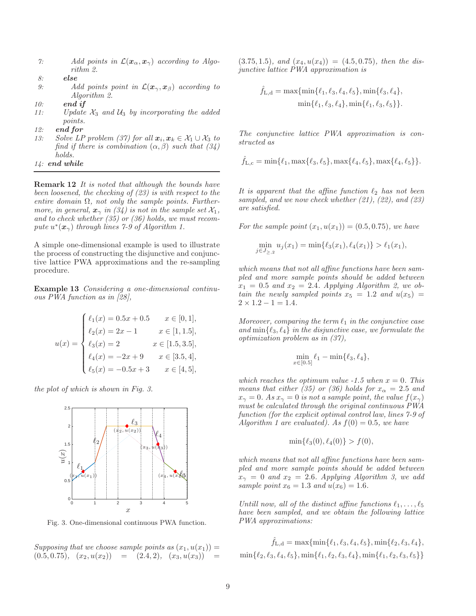| $\gamma$ : | Add points in $\mathcal{L}(\mathbf{x}_{\alpha}, \mathbf{x}_{\gamma})$ according to Algo- |  |  |  |
|------------|------------------------------------------------------------------------------------------|--|--|--|
|            | rithm 2.                                                                                 |  |  |  |

- 8: *else*
- 9: Add points point in  $\mathcal{L}(\mathbf{x}_{\gamma}, \mathbf{x}_{\beta})$  according to Algorithm 2.
- 10: *end if*
- 11: Update  $\mathcal{X}_3$  and  $\mathcal{U}_3$  by incorporating the added points.
- 12: *end for*
- 13: Solve LP problem (37) for all  $x_i, x_k \in \mathcal{X}_1 \cup \mathcal{X}_3$  to find if there is combination  $(\alpha, \beta)$  such that  $(34)$ holds. 14: *end while*

Remark 12 It is noted that although the bounds have been loosened, the checking of (23) is with respect to the entire domain  $\Omega$ , not only the sample points. Furthermore, in general,  $\mathbf{x}_{\gamma}$  in (34) is not in the sample set  $\mathcal{X}_1$ , and to check whether (35) or (36) holds, we must recompute  $u^*(\bm{x}_{\gamma})$  through lines 7-9 of Algorithm 1.

A simple one-dimensional example is used to illustrate the process of constructing the disjunctive and conjunctive lattice PWA approximations and the re-sampling procedure.

Example 13 Considering a one-dimensional continuous PWA function as in [28],

$$
u(x) = \begin{cases} \ell_1(x) = 0.5x + 0.5 & x \in [0, 1], \\ \ell_2(x) = 2x - 1 & x \in [1, 1.5], \\ \ell_3(x) = 2 & x \in [1.5, 3.5], \\ \ell_4(x) = -2x + 9 & x \in [3.5, 4], \\ \ell_5(x) = -0.5x + 3 & x \in [4, 5], \end{cases}
$$

the plot of which is shown in Fig. 3.



Fig. 3. One-dimensional continuous PWA function.

Supposing that we choose sample points as  $(x_1, u(x_1)) =$  $(0.5, 0.75), (x_2, u(x_2)) = (2.4, 2), (x_3, u(x_3))$ 

 $(3.75, 1.5)$ , and  $(x_4, u(x_4)) = (4.5, 0.75)$ , then the disjunctive lattice PWA approximation is

$$
\hat{f}_{L,d} = \max\{\min\{\ell_1, \ell_3, \ell_4, \ell_5\}, \min\{\ell_3, \ell_4\},\
$$

$$
\min\{\ell_1, \ell_3, \ell_4\}, \min\{\ell_1, \ell_3, \ell_5\}\}.
$$

The conjunctive lattice PWA approximation is constructed as

$$
\hat{f}_{L,c} = \min\{\ell_1, \max\{\ell_3, \ell_5\}, \max\{\ell_4, \ell_5\}, \max\{\ell_4, \ell_5\}\}.
$$

It is apparent that the affine function  $\ell_2$  has not been sampled, and we now check whether  $(21)$ ,  $(22)$ , and  $(23)$ are satisfied.

For the sample point  $(x_1, u(x_1)) = (0.5, 0.75)$ , we have

$$
\min_{j \in J_{\ge,2}} u_j(x_1) = \min\{\ell_3(x_1), \ell_4(x_1)\} > \ell_1(x_1),
$$

which means that not all affine functions have been sampled and more sample points should be added between  $x_1 = 0.5$  and  $x_2 = 2.4$ . Applying Algorithm 2, we obtain the newly sampled points  $x_5 = 1.2$  and  $u(x_5) =$  $2 \times 1.2 - 1 = 1.4$ .

Moreover, comparing the term  $\ell_1$  in the conjunctive case and  $\min\{\ell_3, \ell_4\}$  in the disjunctive case, we formulate the optimization problem as in (37),

$$
\min_{x \in [0.5]} \ell_1 - \min{\ell_3, \ell_4},
$$

which reaches the optimum value  $-1.5$  when  $x = 0$ . This means that either (35) or (36) holds for  $x_\alpha = 2.5$  and  $x_{\gamma} = 0$ . As  $x_{\gamma} = 0$  is not a sample point, the value  $f(x_{\gamma})$ must be calculated through the original continuous PWA function (for the explicit optimal control law, lines 7-9 of Algorithm 1 are evaluated). As  $f(0) = 0.5$ , we have

$$
\min\{\ell_3(0), \ell_4(0)\} > f(0),
$$

which means that not all affine functions have been sampled and more sample points should be added between  $x_{\gamma} = 0$  and  $x_2 = 2.6$ . Applying Algorithm 3, we add sample point  $x_6 = 1.3$  and  $u(x_6) = 1.6$ .

Untill now, all of the distinct affine functions  $\ell_1, \ldots, \ell_5$ have been sampled, and we obtain the following lattice PWA approximations:

$$
\hat{f}_{\mathrm{L},\mathrm{d}} = \max\{\min\{\ell_1,\ell_3,\ell_4,\ell_5\},\min\{\ell_2,\ell_3,\ell_4\},\}
$$

$$
\min\{\ell_2,\ell_3,\ell_4,\ell_5\},\min\{\ell_1,\ell_2,\ell_3,\ell_4\},\min\{\ell_1,\ell_2,\ell_3,\ell_5\}\}
$$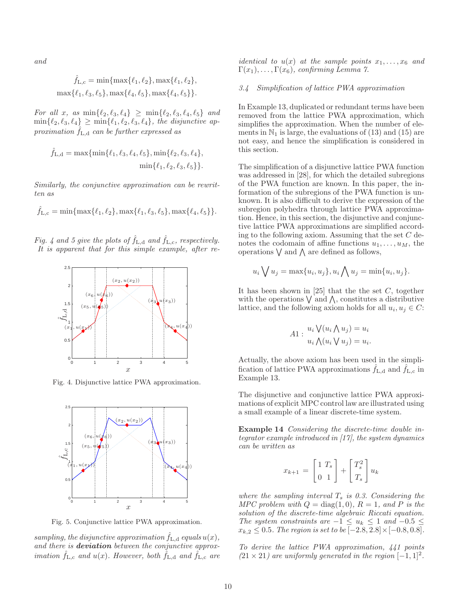and

$$
\hat{f}_{L,c} = \min\{\max\{\ell_1, \ell_2\}, \max\{\ell_1, \ell_2\}, \max\{\ell_1, \ell_3, \ell_5\}, \max\{\ell_4, \ell_5\}, \max\{\ell_4, \ell_5\}\}.
$$

For all x, as  $\min\{\ell_2, \ell_3, \ell_4\} \geq \min\{\ell_2, \ell_3, \ell_4, \ell_5\}$  and  $\min\{\ell_2,\ell_3,\ell_4\} \geq \min\{\ell_1,\ell_2,\ell_3,\ell_4\},\$  the disjunctive approximation  $f_{L,d}$  can be further expressed as

$$
\hat{f}_{L,d} = \max\{\min\{\ell_1, \ell_3, \ell_4, \ell_5\}, \min\{\ell_2, \ell_3, \ell_4\},\
$$

$$
\min\{\ell_1, \ell_2, \ell_3, \ell_5\}\}.
$$

Similarly, the conjunctive approximation can be rewritten as

$$
\hat{f}_{L,c} = \min\{\max\{\ell_1, \ell_2\}, \max\{\ell_1, \ell_3, \ell_5\}, \max\{\ell_4, \ell_5\}\}.
$$

Fig. 4 and 5 give the plots of  $\hat{f}_{L,d}$  and  $\hat{f}_{L,c}$ , respectively. It is apparent that for this simple example, after re-



Fig. 4. Disjunctive lattice PWA approximation.



Fig. 5. Conjunctive lattice PWA approximation.

sampling, the disjunctive approximation  $\hat{f}_{L,d}$  equals  $u(x)$ , and there is **deviation** between the conjunctive approx*imation*  $\hat{f}_{L,c}$  *and*  $u(x)$ *. However, both*  $f_{L,d}$  *and*  $f_{L,c}$  *are*  *identical to*  $u(x)$  *at the sample points*  $x_1, \ldots, x_6$  and  $\Gamma(x_1), \ldots, \Gamma(x_6)$ , confirming Lemma 7.

# 3.4 Simplification of lattice PWA approximation

In Example 13, duplicated or redundant terms have been removed from the lattice PWA approximation, which simplifies the approximation. When the number of elements in  $\mathbb{N}_1$  is large, the evaluations of (13) and (15) are not easy, and hence the simplification is considered in this section.

The simplification of a disjunctive lattice PWA function was addressed in [28], for which the detailed subregions of the PWA function are known. In this paper, the information of the subregions of the PWA function is unknown. It is also difficult to derive the expression of the subregion polyhedra through lattice PWA approximation. Hence, in this section, the disjunctive and conjunctive lattice PWA approximations are simplified according to the following axiom. Assuming that the set  $C$  denotes the codomain of affine functions  $u_1, \ldots, u_M$ , the operations  $\vee$  and  $\wedge$  are defined as follows,

$$
u_i \bigvee u_j = \max\{u_i, u_j\}, u_i \bigwedge u_j = \min\{u_i, u_j\}.
$$

It has been shown in  $[25]$  that the set C, together with the operations  $\bigvee$  and  $\bigwedge$ , constitutes a distributive lattice, and the following axiom holds for all  $u_i, u_j \in C$ :

$$
A1: \frac{u_i \sqrt{(u_i \wedge u_j)}}{u_i \wedge (u_i \vee u_j)} = u_i.
$$

Actually, the above axiom has been used in the simplification of lattice PWA approximations  $f_{L,d}$  and  $f_{L,c}$  in Example 13.

The disjunctive and conjunctive lattice PWA approximations of explicit MPC control law are illustrated using a small example of a linear discrete-time system.

Example 14 Considering the discrete-time double integrator example introduced in [17], the system dynamics can be written as

$$
x_{k+1} = \begin{bmatrix} 1 & T_s \\ 0 & 1 \end{bmatrix} + \begin{bmatrix} T_s^2 \\ T_s \end{bmatrix} u_k
$$

where the sampling interval  $T_s$  is 0.3. Considering the MPC problem with  $Q = \text{diag}(1,0)$ ,  $R = 1$ , and P is the solution of the discrete-time algebraic Riccati equation. The system constraints are  $-1 \le u_k \le 1$  and  $-0.5 \le$  $x_{k,2}$  ≤ 0.5. The region is set to be [-2.8, 2.8] × [-0.8, 0.8].

To derive the lattice PWA approximation, 441 points  $(21 \times 21)$  are uniformly generated in the region  $[-1, 1]^2$ .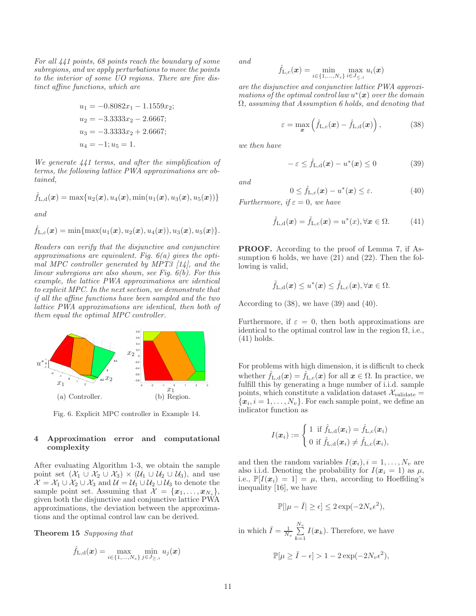For all 441 points, 68 points reach the boundary of some subregions, and we apply perturbations to move the points to the interior of some UO regions. There are five distinct affine functions, which are

$$
u_1 = -0.8082x_1 - 1.1559x_2;
$$
  
\n
$$
u_2 = -3.3333x_2 - 2.6667;
$$
  
\n
$$
u_3 = -3.3333x_2 + 2.6667;
$$
  
\n
$$
u_4 = -1; u_5 = 1.
$$

We generate 441 terms, and after the simplification of terms, the following lattice PWA approximations are obtained,

$$
\hat{f}_{\mathrm{L},\mathrm{d}}(\boldsymbol{x}) = \max\{u_2(\boldsymbol{x}),u_4(\boldsymbol{x}),\min(u_1(\boldsymbol{x}),u_3(\boldsymbol{x}),u_5(\boldsymbol{x}))\}
$$

and

$$
\hat{f}_{\text{L},\text{c}}(\boldsymbol{x}) = \min\{\max(u_1(\boldsymbol{x}),u_2(\boldsymbol{x}),u_4(\boldsymbol{x})),u_3(\boldsymbol{x}),u_5(\boldsymbol{x})\}.
$$

Readers can verify that the disjunctive and conjunctive approximations are equivalent. Fig.  $6(a)$  gives the optimal MPC controller generated by MPT3 [14], and the linear subregions are also shown, see Fig. 6(b). For this example, the lattice PWA approximations are identical to explicit MPC. In the next section, we demonstrate that if all the affine functions have been sampled and the two lattice PWA approximations are identical, then both of them equal the optimal MPC controller.



Fig. 6. Explicit MPC controller in Example 14.

## 4 Approximation error and computational complexity

After evaluating Algorithm 1-3, we obtain the sample point set  $(\mathcal{X}_1 \cup \mathcal{X}_2 \cup \mathcal{X}_3) \times (\mathcal{U}_1 \cup \mathcal{U}_2 \cup \mathcal{U}_3)$ , and use  $\mathcal{X} = \mathcal{X}_1 \cup \mathcal{X}_2 \cup \mathcal{X}_3$  and  $\mathcal{U} = \mathcal{U}_1 \cup \mathcal{U}_2 \cup \mathcal{U}_3$  to denote the sample point set. Assuming that  $\mathcal{X} = \{x_1, \ldots, x_{N_s}\},\$ given both the disjunctive and conjunctive lattice PWA approximations, the deviation between the approximations and the optimal control law can be derived.

Theorem 15 Supposing that

$$
\hat{f}_{\mathrm{L},\mathrm{d}}(\bm{x})=\max_{i\in\{1,...,N_s\}}\min_{j\in J_{\ge,i}}u_j(\bm{x})
$$

and

$$
\hat{f}_{\mathrm{L,c}}(\boldsymbol{x}) = \min_{i \in \{1,...,N_s\}} \max_{i \in J_{\leq,i}} u_i(\boldsymbol{x})
$$

are the disjunctive and conjunctive lattice PWA approximations of the optimal control law  $u^*(x)$  over the domain  $\Omega$ , assuming that Assumption 6 holds, and denoting that

$$
\varepsilon = \max_{\boldsymbol{x}} \left( \hat{f}_{\mathrm{L},c}(\boldsymbol{x}) - \hat{f}_{\mathrm{L},d}(\boldsymbol{x}) \right), \tag{38}
$$

we then have

$$
-\varepsilon \leq \hat{f}_{L,d}(\boldsymbol{x}) - u^*(\boldsymbol{x}) \leq 0 \tag{39}
$$

and

$$
0 \leq \hat{f}_{L,c}(\boldsymbol{x}) - u^*(\boldsymbol{x}) \leq \varepsilon. \tag{40}
$$

Furthermore, if  $\varepsilon = 0$ , we have

$$
\hat{f}_{\mathrm{L},\mathrm{d}}(\boldsymbol{x}) = \hat{f}_{\mathrm{L},\mathrm{c}}(\boldsymbol{x}) = u^*(x), \forall \boldsymbol{x} \in \Omega.
$$
 (41)

PROOF. According to the proof of Lemma 7, if Assumption 6 holds, we have  $(21)$  and  $(22)$ . Then the following is valid,

$$
\hat{f}_{\mathrm{L},\mathrm{d}}(\bm{x}) \leq u^*(\bm{x}) \leq \hat{f}_{\mathrm{L},\mathrm{c}}(\bm{x}), \forall \bm{x} \in \Omega.
$$

According to (38), we have (39) and (40).

Furthermore, if  $\varepsilon = 0$ , then both approximations are identical to the optimal control law in the region  $\Omega$ , i.e., (41) holds.

For problems with high dimension, it is difficult to check whether  $f_{L,d}(x) = f_{L,c}(x)$  for all  $x \in \Omega$ . In practice, we fulfill this by generating a huge number of i.i.d. sample points, which constitute a validation dataset  $\mathcal{X}_{\text{validate}} =$  ${x_i, i = 1, \ldots, N_v}$ . For each sample point, we define an indicator function as

$$
I(\boldsymbol{x}_i) := \left\{ \begin{aligned} 1 \; &\text{if} \; \hat{f}_{\text{L,d}}(\boldsymbol{x}_i) = \hat{f}_{\text{L,c}}(\boldsymbol{x}_i) \\ 0 \; &\text{if} \; \hat{f}_{\text{L,d}}(\boldsymbol{x}_i) \neq \hat{f}_{\text{L,c}}(\boldsymbol{x}_i), \end{aligned} \right.
$$

and then the random variables  $I(\boldsymbol{x}_i), i = 1, \ldots, N_v$  are also i.i.d. Denoting the probability for  $I(\mathbf{x}_i = 1)$  as  $\mu$ , i.e.,  $\mathbb{P}[I(\boldsymbol{x}_i) = 1] = \mu$ , then, according to Hoeffding's inequality [16], we have

$$
\mathbb{P}[|\mu - \bar{I}| \ge \epsilon] \le 2\exp(-2N_v\epsilon^2),
$$

in which  $\bar{I} = \frac{1}{N_v}$  $\sum^{N_v}$  $\sum_{k=1} I(\boldsymbol{x}_k)$ . Therefore, we have  $\mathbb{P}[\mu \geq \overline{I} - \epsilon] > 1 - 2 \exp(-2N_v \epsilon^2),$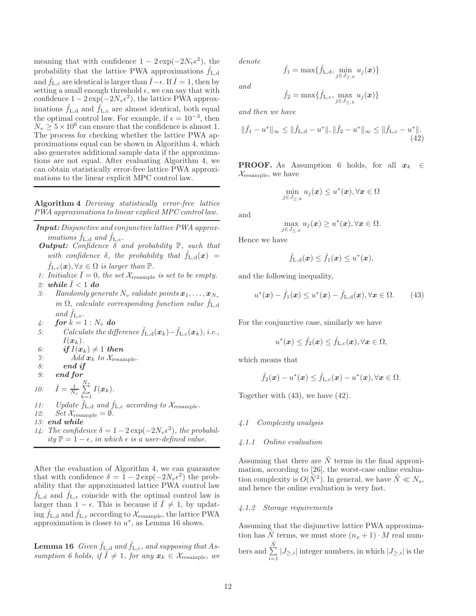meaning that with confidence  $1 - 2 \exp(-2N_v \epsilon^2)$ , the probability that the lattice PWA approximations  $f_{L,d}$ and  $\hat{f}_{\text{L,c}}$  are identical is larger than  $\bar{I}-\epsilon$ . If  $\bar{I}=1$ , then by setting a small enough threshold  $\epsilon$ , we can say that with confidence  $1 - 2 \exp(-2N_v \epsilon^2)$ , the lattice PWA approximations  $\hat{f}_{L,d}$  and  $\hat{f}_{L,c}$  are almost identical, both equal the optimal control law. For example, if  $\epsilon = 10^{-3}$ , then  $N_v \geq 5 \times 10^6$  can ensure that the confidence is almost 1. The process for checking whether the lattice PWA approximations equal can be shown in Algorithm 4, which also generates additional sample data if the approximations are not equal. After evaluating Algorithm 4, we can obtain statistically error-free lattice PWA approximations to the linear explicit MPC control law.

Algorithm 4 Deriving statistically error-free lattice PWA approximations to linear explicit MPC control law.

- *Input:* Disjunctive and conjunctive lattice PWA approximations  $\hat{f}_{\text{L},d}$  and  $\hat{f}_{\text{L},c}$ .
- *Output:* Confidence  $\delta$  and probability  $\mathbb{P}$ , such that with confidence  $\delta$ , the probability that  $\hat{f}_{L,d}(\boldsymbol{x}) =$  $\hat{f}_{L,c}(\boldsymbol{x}), \forall x \in \Omega$  is larger than  $\mathbb{P}$ .
- 1: Initialize  $\overline{I}=0$ , the set  $\mathcal{X}_{\text{resample}}$  is set to be empty. 2: while  $\overline{I} < 1$  do
- 3: Randomly generate  $N_v$  validate points  $\boldsymbol{x}_1, \ldots, \boldsymbol{x}_{N_v}$ in  $\Omega$ , calculate corresponding function value  $\hat{f}_{\text{L},d}$ and  $f_{L,c}$ .
- 4: **for**  $k = 1 : N_v$  **do**
- 5: Calculate the difference  $\hat{f}_{L,d}(\boldsymbol{x}_k) \hat{f}_{L,c}(\boldsymbol{x}_k)$ , i.e.,  $I(\boldsymbol{x}_k)$ .
- 6: *if*  $I(x_k) \neq 1$  **then**
- 7: Add  $x_k$  to  $\mathcal{X}_{\text{resample}}$ .
- 8: *end if*
- 9: *end for*

10:  $\bar{I} = \frac{1}{N_v}$  $\sum^{N_v}$  $\sum_{k=1} I(\boldsymbol{x}_k).$ 

- 11: Update  $\hat{f}_{L,d}$  and  $\hat{f}_{L,c}$  according to  $\mathcal{X}_{\text{resample}}$ .
- 12:  $Set\mathcal{X}_{\text{resample}} = \emptyset.$
- 13: *end while*
- 14: The confidence  $\delta = 1 2 \exp(-2N_v \epsilon^2)$ , the probability  $\mathbb{P} = 1 - \epsilon$ , in which  $\epsilon$  is a user-defined value.

After the evaluation of Algorithm 4, we can guarantee that with confidence  $\delta = 1 - 2 \exp(-2N_v \epsilon^2)$  the probability that the approximated lattice PWA control law  $\hat{f}_{L,d}$  and  $\hat{f}_{L,c}$  coincide with the optimal control law is larger than  $1 - \epsilon$ . This is because if  $\overline{I} \neq 1$ , by updating  $\hat{f}_{L,d}$  and  $\hat{f}_{L,c}$  according to  $\mathcal{X}_{\text{resample}}$ , the lattice PWA approximation is closer to  $u^*$ , as Lemma 16 shows.

**Lemma 16** Given  $\hat{f}_{L,d}$  and  $\hat{f}_{L,c}$ , and supposing that Assumption 6 holds, if  $\overline{I} \neq 1$ , for any  $x_k \in \mathcal{X}_{\text{resample}}$ , we denote

$$
\hat{f}_1 = \max\{\hat{f}_{\mathrm{L},\mathrm{d}}, \min_{j \in J_{>,k}} u_j(\bm{x})\}
$$

and

$$
\hat{f}_2 = \max\{\hat{f}_{\text{L},\text{c}}, \max_{j \in J_{\leq,k}} u_j(\bm{x})\}
$$

and then we have

$$
\|\hat{f}_1 - u^*\|_{\infty} \le \|\hat{f}_{\mathrm{L},\mathrm{d}} - u^*\|, \|\hat{f}_2 - u^*\|_{\infty} \le \|\hat{f}_{\mathrm{L},\mathrm{c}} - u^*\|.
$$
\n(42)

**PROOF.** As Assumption 6 holds, for all  $x_k \in$  $\mathcal{X}_{\text{resample}}$ , we have

$$
\min_{j\in J_{\ge,k}} u_j(\boldsymbol{x}) \le u^*(\boldsymbol{x}), \forall \boldsymbol{x} \in \Omega
$$

and

$$
\max_{j\in J_{\leq,k}} u_j(\boldsymbol{x}) \geq u^*(\boldsymbol{x}), \forall \boldsymbol{x} \in \Omega.
$$

Hence we have

$$
\hat{f}_{\mathrm{L},\mathrm{d}}(\bm{x}) \leq \hat{f}_{1}(\bm{x}) \leq u^{*}(\bm{x}),
$$

and the following inequality,

$$
u^*(\boldsymbol{x}) - \hat{f}_1(\boldsymbol{x}) \le u^*(\boldsymbol{x}) - \hat{f}_{L,d}(\boldsymbol{x}), \forall \boldsymbol{x} \in \Omega.
$$
 (43)

For the conjunctive case, similarly we have

$$
u^*(\boldsymbol{x}) \leq \hat{f}_2(\boldsymbol{x}) \leq \hat{f}_{\mathrm{L,c}}(\boldsymbol{x}), \forall \boldsymbol{x} \in \Omega,
$$

which means that

$$
\hat{f}_2(\boldsymbol{x}) - u^*(\boldsymbol{x}) \leq \hat{f}_{\mathrm{L},\mathrm{c}}(\boldsymbol{x}) - u^*(\boldsymbol{x}), \forall \boldsymbol{x} \in \Omega.
$$

Together with (43), we have (42).

# 4.1 Complexity analysis

# 4.1.1 Online evaluation

Assuming that there are  $\tilde{N}$  terms in the final approximation, according to [26], the worst-case online evaluation complexity is  $O(N^2)$ . In general, we have  $\tilde{N} \ll N_s$ , and hence the online evaluation is very fast.

# 4.1.2 Storage requirements

Assuming that the disjunctive lattice PWA approximation has N terms, we must store  $(n_x + 1) \cdot M$  real numbers and  $\Sigma$  $\tilde{N}$  $\sum_{i=1} |J_{\ge i}|$  integer numbers, in which  $|J_{\ge i}|$  is the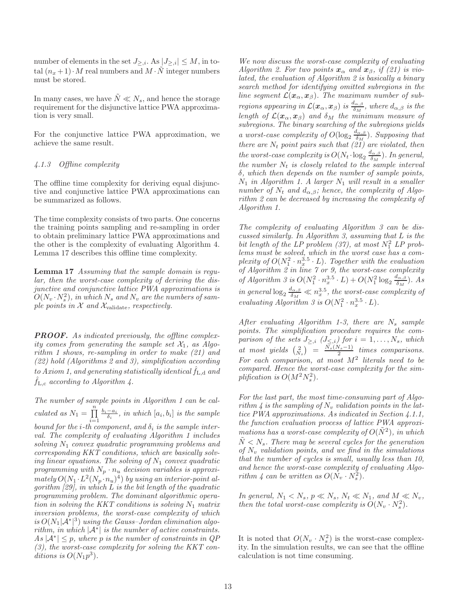number of elements in the set  $J_{\geq,i}$ . As  $|J_{\geq,i}| \leq M$ , in total  $(n_x+1) \cdot M$  real numbers and  $M \cdot N$  integer numbers must be stored.

In many cases, we have  $\tilde{N}\ll N_s,$  and hence the storage requirement for the disjunctive lattice PWA approximation is very small.

For the conjunctive lattice PWA approximation, we achieve the same result.

## 4.1.3 Offline complexity

The offline time complexity for deriving equal disjunctive and conjunctive lattice PWA approximations can be summarized as follows.

The time complexity consists of two parts. One concerns the training points sampling and re-sampling in order to obtain preliminary lattice PWA approximations and the other is the complexity of evaluating Algorithm 4. Lemma 17 describes this offline time complexity.

Lemma 17 Assuming that the sample domain is regular, then the worst-case complexity of deriving the disjunctive and conjunctive lattice PWA approximations is  $O(N_v \cdot N_s^2),$  in which  $N_s$  and  $N_v$  are the numbers of sample points in  $X$  and  $X_{\text{validate}}$ , respectively.

**PROOF.** As indicated previously, the offline complexity comes from generating the sample set  $\mathcal{X}_1$ , as Algorithm 1 shows, re-sampling in order to make (21) and (22) hold (Algorithms 2 and 3), simplification according to Axiom 1, and generating statistically identical  $f_{L,d}$  and  $f_{L,c}$  according to Algorithm 4.

The number of sample points in Algorithm 1 can be calculated as  $N_1 = \prod^n$  $i=1$  $\frac{b_i - a_i}{\delta_i}$ , in which  $[a_i, b_i]$  is the sample bound for the *i*-th component, and  $\delta_i$  is the sample interval. The complexity of evaluating Algorithm 1 includes solving  $N_1$  convex quadratic programming problems and corresponding KKT conditions, which are basically solving linear equations. The solving of  $N_1$  convex quadratic programming with  $N_p \cdot n_u$  decision variables is approxi $mately O(N_1 \cdot L^2(N_p \cdot n_u)^4)$  by using an interior-point algorithm  $[29]$ , in which L is the bit length of the quadratic programming problem. The dominant algorithmic operation in solving the KKT conditions is solving  $N_1$  matrix inversion problems, the worst-case complexity of which is  $O(N_1|\mathcal{A}^*|^3)$  using the Gauss-Jordan elimination algorithm, in which  $|\mathcal{A}^*|$  is the number of active constraints.  $As |\mathcal{A}^*| \leq p$ , where p is the number of constraints in QP  $(3)$ , the worst-case complexity for solving the KKT conditions is  $O(N_1p^3)$ .

We now discuss the worst-case complexity of evaluating Algorithm 2. For two points  $x_{\alpha}$  and  $x_{\beta}$ , if (21) is violated, the evaluation of Algorithm 2 is basically a binary search method for identifying omitted subregions in the line segment  $\mathcal{L}(\bm{x}_{\alpha}, \bm{x}_{\beta})$ . The maximum number of subregions appearing in  $\mathcal{L}(\bm{x}_{\alpha},\bm{x}_{\beta})$  is  $\frac{d_{\alpha,\beta}}{\delta_M}$ , where  $d_{\alpha,\beta}$  is the length of  $\mathcal{L}(\mathbf{x}_{\alpha}, \mathbf{x}_{\beta})$  and  $\delta_M$  the minimum measure of subregions. The binary searching of the subregions yields a worst-case complexity of  $O(\log_2 \frac{d_{\alpha,\beta}}{\delta_M})$  $\frac{\mu_{\alpha,\beta}}{\delta_M}$ ). Supposing that there are  $N_t$  point pairs such that  $(21)$  are violated, then the worst-case complexity is  $O(N_t \cdot \log_2 \frac{d_{\alpha,\beta}}{\delta_M})$  $\frac{\partial L_{\alpha,\beta}}{\partial M}$ ). In general, the number  $N_t$  is closely related to the sample interval  $\delta$ , which then depends on the number of sample points,  $N_1$  in Algorithm 1. A larger  $N_1$  will result in a smaller number of  $N_t$  and  $d_{\alpha,\beta}$ ; hence, the complexity of Algorithm 2 can be decreased by increasing the complexity of Algorithm 1.

The complexity of evaluating Algorithm 3 can be discussed similarly. In Algorithm 3, assuming that L is the bit length of the LP problem (37), at most  $N_1^2$  LP problems must be solved, which in the worst case has a complexity of  $O(N_1^2 \cdot n_x^{3.5} \cdot L)$ . Together with the evaluation of Algorithm 2 in line 7 or 9, the worst-case complexity of Algorithm 3 is  $O(N_1^2 \cdot n_x^{3.5} \cdot L) + O(N_1^2 \log_2 \frac{d_{\alpha,\beta}}{\delta_M})$  $\frac{\iota_{\alpha,\beta}}{\delta_M}$ ). As in general  $\log_2 \frac{d_{\alpha,\beta}}{\delta_M} \ll n_x^{3.5}$ , the worst-case complexity of evaluating Algorithm 3 is  $O(N_1^2 \cdot n_x^{3.5} \cdot L)$ .

After evaluating Algorithm 1-3, there are  $N_s$  sample points. The simplification procedure requires the comparison of the sets  $J_{\geq,i}$   $(J_{\leq,i})$  for  $i=1,\ldots,N_s$ , which at most yields  $\begin{pmatrix} 2 \\ N_s \end{pmatrix} = \frac{N_s(N_s-1)}{2}$  times comparisons. For each comparison, at most  $M^2$  literals need to be compared. Hence the worst-case complexity for the simplification is  $O(M^2 N_s^2)$ .

For the last part, the most time-consuming part of Algorithm 4 is the sampling of  $N_v$  validation points in the lattice PWA approximations. As indicated in Section 4.1.1, the function evaluation process of lattice PWA approximations has a worst-case complexity of  $O(N^2)$ , in which  $\tilde{N} < N_s$ . There may be several cycles for the generation of  $N_v$  validation points, and we find in the simulations that the number of cycles is small, usually less than 10, and hence the worst-case complexity of evaluating Algorithm 4 can be written as  $O(N_v \cdot N_s^2)$ .

In general,  $N_1 < N_s$ ,  $p \ll N_s$ ,  $N_t \ll N_1$ , and  $M \ll N_v$ , then the total worst-case complexity is  $O(N_v \cdot N_s^2)$ .

It is noted that  $O(N_v \cdot N_s^2)$  is the worst-case complexity. In the simulation results, we can see that the offline calculation is not time consuming.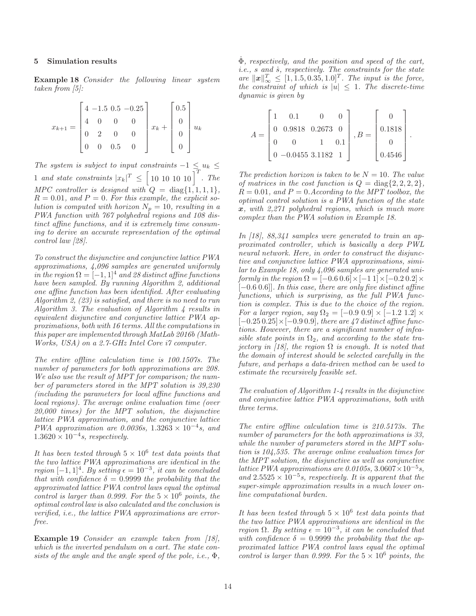#### 5 Simulation results

Example 18 Consider the following linear system taken from [5]:

$$
x_{k+1} = \begin{bmatrix} 4 & -1.5 & 0.5 & -0.25 \\ 4 & 0 & 0 & 0 \\ 0 & 2 & 0 & 0 \\ 0 & 0 & 0.5 & 0 \end{bmatrix} x_k + \begin{bmatrix} 0.5 \\ 0 \\ 0 \\ 0 \end{bmatrix} u_k
$$

The system is subject to input constraints  $-1 \le u_k \le$ 1 and state constraints  $|x_k|^T \leq \left[10\;10\;10\;10\right]^T$ . The MPC controller is designed with  $Q = \text{diag}\{1, 1, 1, 1\},\$  $R = 0.01$ , and  $P = 0$ . For this example, the explicit solution is computed with horizon  $N_p = 10$ , resulting in a PWA function with 767 polyhedral regions and 108 distinct affine functions, and it is extremely time consuming to derive an accurate representation of the optimal control law [28].

To construct the disjunctive and conjunctive lattice PWA approximations, 4,096 samples are generated uniformly in the region  $\Omega = [-1, 1]^4$  and 28 distinct affine functions have been sampled. By running Algorithm 2, additional one affine function has been identified. After evaluating Algorithm 2, (23) is satisfied, and there is no need to run Algorithm 3. The evaluation of Algorithm  $\lambda$  results in equivalent disjunctive and conjunctive lattice PWA approximations, both with 16 terms. All the computations in this paper are implemented through MatLab 2016b (Math-Works, USA) on a 2.7-GHz Intel Core i7 computer.

The entire offline calculation time is 100.1507s. The number of parameters for both approximations are 208. We also use the result of MPT for comparison; the number of parameters stored in the MPT solution is 39,230 (including the parameters for local affine functions and local regions). The average online evaluation time (over 20,000 times) for the MPT solution, the disjunctive lattice PWA approximation, and the conjunctive lattice PWA approximation are 0.0036s,  $1.3263 \times 10^{-4}$ s, and  $1.3620 \times 10^{-4}$ s, respectively.

It has been tested through  $5 \times 10^6$  test data points that the two lattice PWA approximations are identical in the region  $[-1, 1]^4$ . By setting  $\epsilon = 10^{-3}$ , it can be concluded that with confidence  $\delta = 0.9999$  the probability that the approximated lattice PWA control laws equal the optimal control is larger than 0.999. For the  $5 \times 10^6$  points, the optimal control law is also calculated and the conclusion is verified, i.e., the lattice PWA approximations are errorfree.

Example 19 Consider an example taken from [18], which is the inverted pendulum on a cart. The state consists of the angle and the angle speed of the pole, *i.e.*,  $\Phi$ ,

 $\dot{\Phi}$ , respectively, and the position and speed of the cart,  $i.e., s and \dot{s}, respectively.$  The constraints for the state are  $\|\boldsymbol{x}\|_{\infty}^T \leq [1, 1.5, 0.35, 1.0]^T$ . The input is the force, the constraint of which is  $|u| \leq 1$ . The discrete-time dynamic is given by

$$
A = \begin{bmatrix} 1 & 0.1 & 0 & 0 \\ 0 & 0.9818 & 0.2673 & 0 \\ 0 & 0 & 1 & 0.1 \\ 0 & -0.0455 & 3.1182 & 1 \end{bmatrix}, B = \begin{bmatrix} 0 \\ 0.1818 \\ 0 \\ 0.4546 \end{bmatrix}.
$$

The prediction horizon is taken to be  $N = 10$ . The value of matrices in the cost function is  $Q = \text{diag}\{2, 2, 2, 2\},\$  $R = 0.01$ , and  $P = 0$ . According to the MPT toolbox, the optimal control solution is a PWA function of the state  $x, with 2,271 polyhedral regions, which is much more$ complex than the PWA solution in Example 18.

In [18], 88,341 samples were generated to train an approximated controller, which is basically a deep PWL neural network. Here, in order to construct the disjunctive and conjunctive lattice PWA approximations, similar to Example 18, only 4,096 samples are generated uniformly in the region  $\Omega = [-0.6 \, 0.6] \times [-1 \, 1] \times [-0.2 \, 0.2] \times$  $[-0.6\,0.6]$ ]. In this case, there are only five distinct affine functions, which is surprising, as the full PWA function is complex. This is due to the choice of the region. For a larger region, say  $\Omega_2 = [-0.9 \, 0.9] \times [-1.2 \, 1.2] \times$  $[-0.25\,0.25]\times[-0.9\,0.9]$ , there are 47 distinct affine functions. However, there are a significant number of infeasible state points in  $\Omega_2$ , and according to the state trajectory in [18], the region  $\Omega$  is enough. It is noted that the domain of interest should be selected carefully in the future, and perhaps a data-driven method can be used to estimate the recursively feasible set.

The evaluation of Algorithm 1-4 results in the disjunctive and conjunctive lattice PWA approximations, both with three terms.

The entire offline calculation time is 210.5173s. The number of parameters for the both approximations is 33, while the number of parameters stored in the MPT solution is 104,535. The average online evaluation times for the MPT solution, the disjunctive as well as conjunctive lattice PWA approximations are 0.0105s,  $3.0607 \times 10^{-5}$ s, and  $2.5525 \times 10^{-5}$  s, respectively. It is apparent that the super-simple approximation results in a much lower online computational burden.

It has been tested through  $5 \times 10^6$  test data points that the two lattice PWA approximations are identical in the region  $\Omega$ . By setting  $\epsilon = 10^{-3}$ , it can be concluded that with confidence  $\delta = 0.9999$  the probability that the approximated lattice PWA control laws equal the optimal control is larger than 0.999. For the  $5 \times 10^6$  points, the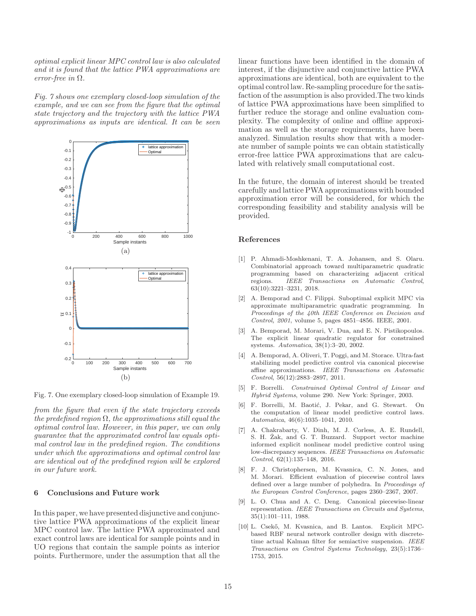optimal explicit linear MPC control law is also calculated and it is found that the lattice PWA approximations are error-free in  $\Omega$ .

Fig. 7 shows one exemplary closed-loop simulation of the example, and we can see from the figure that the optimal state trajectory and the trajectory with the lattice PWA approximations as inputs are identical. It can be seen



Fig. 7. One exemplary closed-loop simulation of Example 19.

from the figure that even if the state trajectory exceeds the predefined region  $\Omega$ , the approximations still equal the optimal control law. However, in this paper, we can only guarantee that the approximated control law equals optimal control law in the predefined region. The conditions under which the approximations and optimal control law are identical out of the predefined region will be explored in our future work.

#### 6 Conclusions and Future work

In this paper, we have presented disjunctive and conjunctive lattice PWA approximations of the explicit linear MPC control law. The lattice PWA approximated and exact control laws are identical for sample points and in UO regions that contain the sample points as interior points. Furthermore, under the assumption that all the linear functions have been identified in the domain of interest, if the disjunctive and conjunctive lattice PWA approximations are identical, both are equivalent to the optimal control law. Re-sampling procedure for the satisfaction of the assumption is also provided.The two kinds of lattice PWA approximations have been simplified to further reduce the storage and online evaluation complexity. The complexity of online and offline approximation as well as the storage requirements, have been analyzed. Simulation results show that with a moderate number of sample points we can obtain statistically error-free lattice PWA approximations that are calculated with relatively small computational cost.

In the future, the domain of interest should be treated carefully and lattice PWA approximations with bounded approximation error will be considered, for which the corresponding feasibility and stability analysis will be provided.

#### References

- [1] P. Ahmadi-Moshkenani, T. A. Johansen, and S. Olaru. Combinatorial approach toward multiparametric quadratic programming based on characterizing adjacent critical regions. IEEE Transactions on Automatic Control, 63(10):3221–3231, 2018.
- [2] A. Bemporad and C. Filippi. Suboptimal explicit MPC via approximate multiparametric quadratic programming. In Proceedings of the 40th IEEE Conference on Decision and Control, 2001, volume 5, pages 4851–4856. IEEE, 2001.
- [3] A. Bemporad, M. Morari, V. Dua, and E. N. Pistikopoulos. The explicit linear quadratic regulator for constrained systems. Automatica, 38(1):3–20, 2002.
- [4] A. Bemporad, A. Oliveri, T. Poggi, and M. Storace. Ultra-fast stabilizing model predictive control via canonical piecewise affine approximations. IEEE Transactions on Automatic Control, 56(12):2883–2897, 2011.
- [5] F. Borrelli. Constrained Optimal Control of Linear and Hybrid Systems, volume 290. New York: Springer, 2003.
- [6] F. Borrelli, M. Baotić, J. Pekar, and G. Stewart. On the computation of linear model predictive control laws. Automatica, 46(6):1035–1041, 2010.
- [7] A. Chakrabarty, V. Dinh, M. J. Corless, A. E. Rundell, S. H. Zak, and G. T. Buzzard. Support vector machine informed explicit nonlinear model predictive control using low-discrepancy sequences. IEEE Transactions on Automatic Control, 62(1):135–148, 2016.
- [8] F. J. Christophersen, M. Kvasnica, C. N. Jones, and M. Morari. Efficient evaluation of piecewise control laws defined over a large number of polyhedra. In Proceedings of the European Control Conference, pages 2360–2367, 2007.
- [9] L. O. Chua and A. C. Deng. Canonical piecewise-linear representation. IEEE Transactions on Circuits and Systems, 35(1):101–111, 1988.
- [10] L. Csekő, M. Kvasnica, and B. Lantos. Explicit MPCbased RBF neural network controller design with discretetime actual Kalman filter for semiactive suspension. IEEE Transactions on Control Systems Technology, 23(5):1736– 1753, 2015.